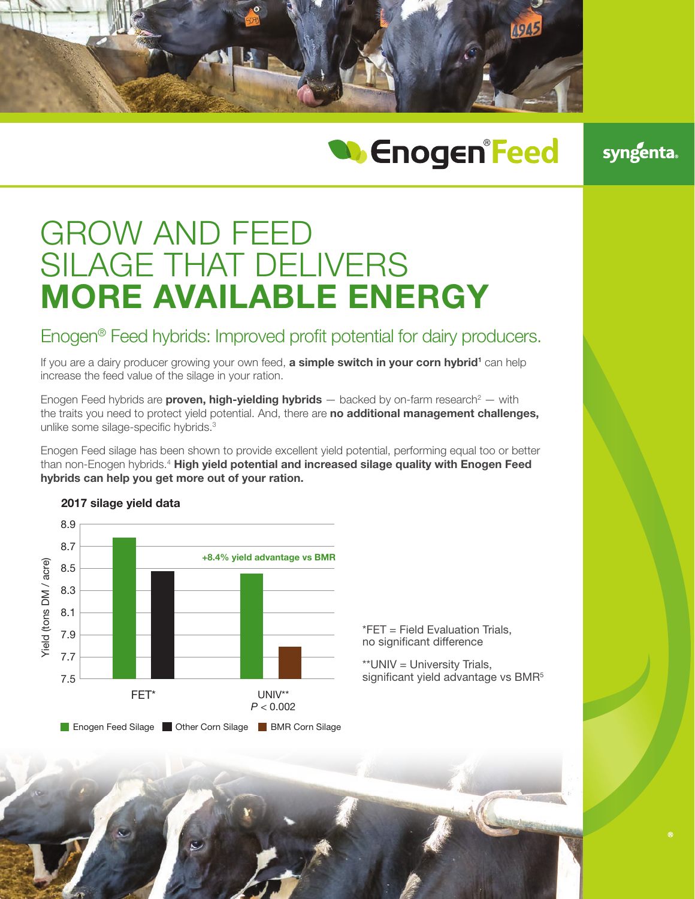

# **W** Enogen<sup>®</sup>Feed

syngenta.

## GROW AND FEED SILAGE THAT DELIVERS MORE AVAILABLE ENERGY

## Enogen® Feed hybrids: Improved profit potential for dairy producers.

If you are a dairy producer growing your own feed, **a simple switch in your corn hybrid<sup>1</sup>** can help increase the feed value of the silage in your ration.

Enogen Feed hybrids are **proven, high-yielding hybrids**  $-$  backed by on-farm research<sup>2</sup>  $-$  with the traits you need to protect yield potential. And, there are no additional management challenges, unlike some silage-specific hybrids.3

Enogen Feed silage has been shown to provide excellent yield potential, performing equal too or better than non-Enogen hybrids.<sup>4</sup> High yield potential and increased silage quality with Enogen Feed hybrids can help you get more out of your ration.



#### 2017 silage yield data

\*FET = Field Evaluation Trials, no significant difference

\*\*UNIV = University Trials, significant yield advantage vs BMR<sup>5</sup>

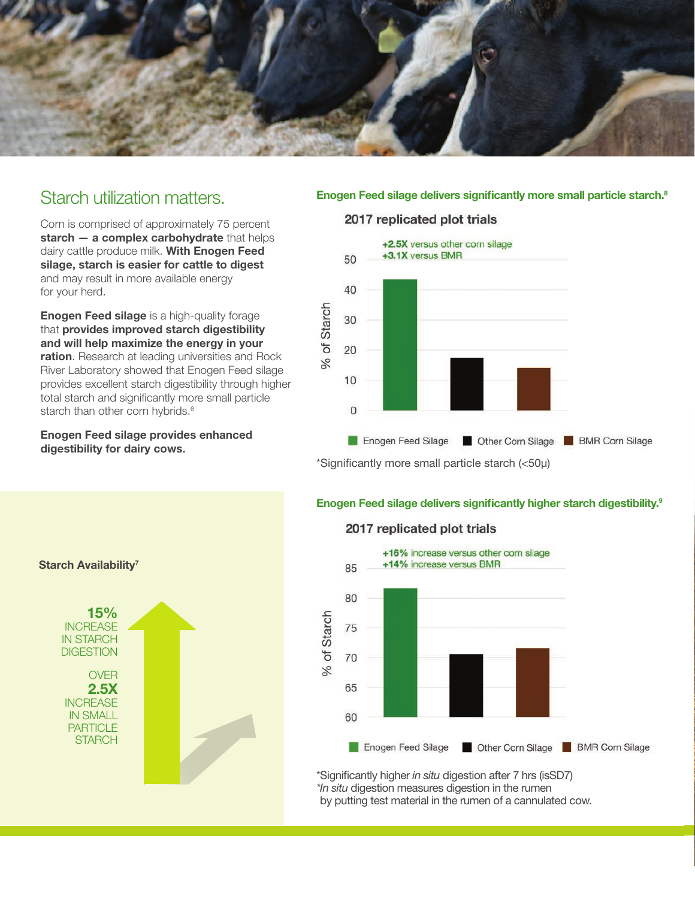

## Starch utilization matters.

Corn is comprised of approximately 75 percent starch – a complex carbohydrate that helps dairy cattle produce milk. With Enogen Feed silage, starch is easier for cattle to digest and may result in more available energy for your herd.

**Enogen Feed silage** is a high-quality forage that provides improved starch digestibility and will help maximize the energy in your ration. Research at leading universities and Rock River Laboratory showed that Enogen Feed silage provides excellent starch digestibility through higher total starch and significantly more small particle starch than other corn hybrids.<sup>6</sup>

Enogen Feed silage provides enhanced digestibility for dairy cows.

#### Enogen Feed silage delivers significantly more small particle starch.<sup>8</sup>

#### 2017 replicated plot trials



#### Enogen Feed silage delivers significantly higher starch digestibility.9



#### 2017 replicated plot trials



\*Significantly higher *in situ* digestion after 7 hrs (isSD7) *\*In situ* digestion measures digestion in the rumen by putting test material in the rumen of a cannulated cow.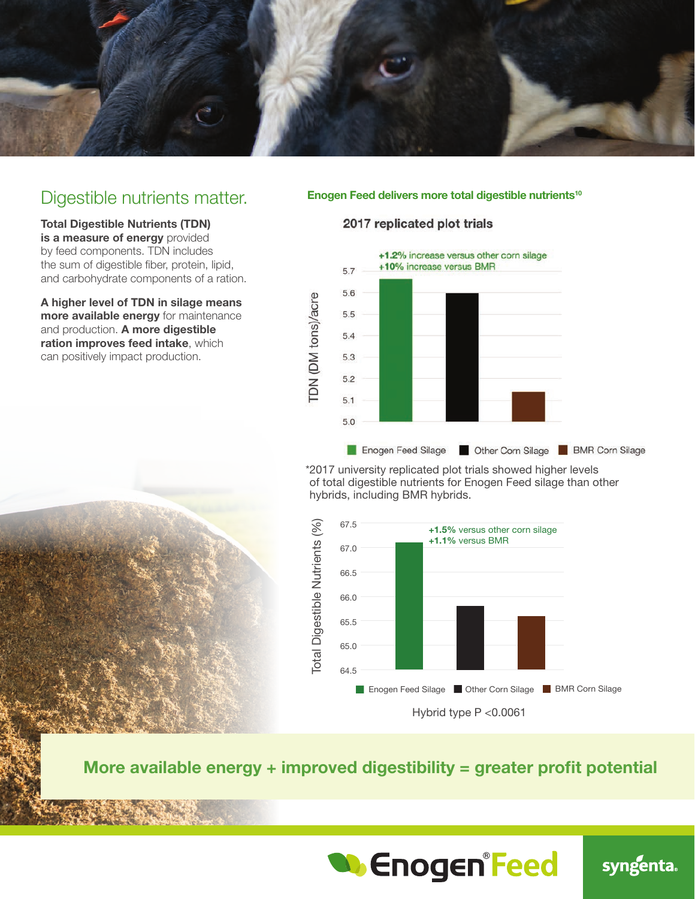

### Digestible nutrients matter.

Total Digestible Nutrients (TDN) is a measure of energy provided by feed components. TDN includes the sum of digestible fiber, protein, lipid, and carbohydrate components of a ration.

A higher level of TDN in silage means more available energy for maintenance and production. A more digestible ration improves feed intake, which can positively impact production.

#### Enogen Feed delivers more total digestible nutrients<sup>10</sup>

#### 2017 replicated plot trials



hybrids, including BMR hybrids. \*2017 university replicated plot trials showed higher levels of total digestible nutrients for Enogen Feed silage than other



More available energy + improved digestibility = greater profit potential



syngenta.